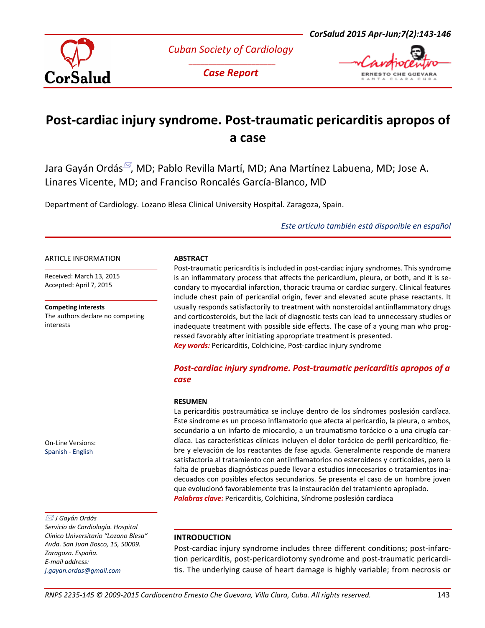

*Cuban Society of Cardiology \_\_\_\_\_\_\_\_\_\_\_\_\_\_\_\_\_\_\_\_\_\_*

*Case Report*



# **Post-cardiac injury syndrome. Post-traumatic pericarditis apropos of a case**

Jara Gayán Ordás<sup>⊠</sup>, MD; Pablo Revilla Martí, MD; Ana Martínez Labuena, MD; Jose A. Linares Vicente, MD; and Franciso Roncalés García-Blanco, MD

Department of Cardiology. Lozano Blesa Clinical University Hospital. Zaragoza, Spain.

*[Este artículo también está disponible en español](http://www.corsalud.sld.cu/)*

#### ARTICLE INFORMATION

Received: March 13, 2015 Accepted: April 7, 2015

**Competing interests** The authors declare no competing interests

On-Line Versions: [Spanish](http://www.corsalud.sld.cu/) - [English](http://www.corsalud.sld.cu/corsaludenglish)

 *J Gayán Ordás Servicio de Cardiología. Hospital Clínico Universitario "Lozano Blesa" Avda. San Juan Bosco, 15, 50009. Zaragoza. España. E-mail address: [j.gayan.ordas@gmail.com](mailto:j.gayan.ordas@gmail.com)*

## **ABSTRACT**

Post-traumatic pericarditis is included in post-cardiac injury syndromes. This syndrome is an inflammatory process that affects the pericardium, pleura, or both, and it is secondary to myocardial infarction, thoracic trauma or cardiac surgery. Clinical features include chest pain of pericardial origin, fever and elevated acute phase reactants. It usually responds satisfactorily to treatment with nonsteroidal antiinflammatory drugs and corticosteroids, but the lack of diagnostic tests can lead to unnecessary studies or inadequate treatment with possible side effects. The case of a young man who progressed favorably after initiating appropriate treatment is presented. *Key words:* Pericarditis, Colchicine, Post-cardiac injury syndrome

# *Post-cardiac injury syndrome. Post-traumatic pericarditis apropos of a case*

#### **RESUMEN**

La pericarditis postraumática se incluye dentro de los síndromes poslesión cardíaca. Este síndrome es un proceso inflamatorio que afecta al pericardio, la pleura, o ambos, secundario a un infarto de miocardio, a un traumatismo torácico o a una cirugía cardíaca. Las características clínicas incluyen el dolor torácico de perfil pericardítico, fiebre y elevación de los reactantes de fase aguda. Generalmente responde de manera satisfactoria al tratamiento con antiinflamatorios no esteroideos y corticoides, pero la falta de pruebas diagnósticas puede llevar a estudios innecesarios o tratamientos inadecuados con posibles efectos secundarios. Se presenta el caso de un hombre joven que evolucionó favorablemente tras la instauración del tratamiento apropiado. *Palabras clave:* Pericarditis, Colchicina, Síndrome poslesión cardíaca

## **INTRODUCTION**

Post-cardiac injury syndrome includes three different conditions; post-infarction pericarditis, post-pericardiotomy syndrome and post-traumatic pericarditis. The underlying cause of heart damage is highly variable; from necrosis or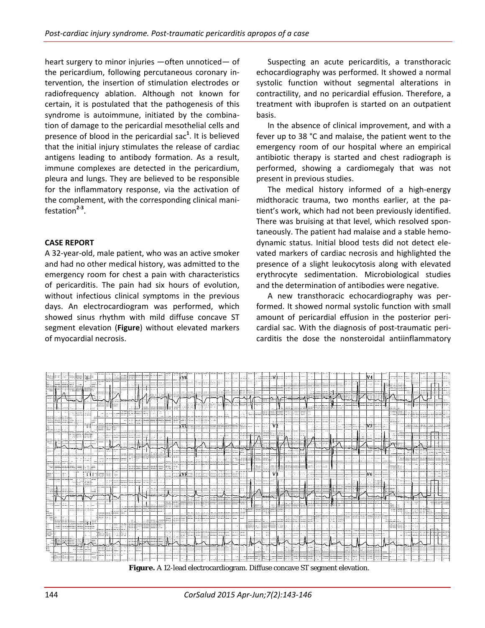heart surgery to minor injuries —often unnoticed— of the pericardium, following percutaneous coronary intervention, the insertion of stimulation electrodes or radiofrequency ablation. Although not known for certain, it is postulated that the pathogenesis of this syndrome is autoimmune, initiated by the combination of damage to the pericardial mesothelial cells and presence of blood in the pericardial sac**<sup>1</sup>** . It is believed that the initial injury stimulates the release of cardiac antigens leading to antibody formation. As a result, immune complexes are detected in the pericardium, pleura and lungs. They are believed to be responsible for the inflammatory response, via the activation of the complement, with the corresponding clinical manifestation**2-3** .

## **CASE REPORT**

A 32-year-old, male patient, who was an active smoker and had no other medical history, was admitted to the emergency room for chest a pain with characteristics of pericarditis. The pain had six hours of evolution, without infectious clinical symptoms in the previous days. An electrocardiogram was performed, which showed sinus rhythm with mild diffuse concave ST segment elevation (**Figure**) without elevated markers of myocardial necrosis.

Suspecting an acute pericarditis, a transthoracic echocardiography was performed. It showed a normal systolic function without segmental alterations in contractility, and no pericardial effusion. Therefore, a treatment with ibuprofen is started on an outpatient basis.

In the absence of clinical improvement, and with a fever up to 38 °C and malaise, the patient went to the emergency room of our hospital where an empirical antibiotic therapy is started and chest radiograph is performed, showing a cardiomegaly that was not present in previous studies.

The medical history informed of a high-energy midthoracic trauma, two months earlier, at the patient's work, which had not been previously identified. There was bruising at that level, which resolved spontaneously. The patient had malaise and a stable hemodynamic status. Initial blood tests did not detect elevated markers of cardiac necrosis and highlighted the presence of a slight leukocytosis along with elevated erythrocyte sedimentation. Microbiological studies and the determination of antibodies were negative.

A new transthoracic echocardiography was performed. It showed normal systolic function with small amount of pericardial effusion in the posterior pericardial sac. With the diagnosis of post-traumatic pericarditis the dose the nonsteroidal antiinflammatory



**Figure.** A 12-lead electrocardiogram. Diffuse concave ST segment elevation.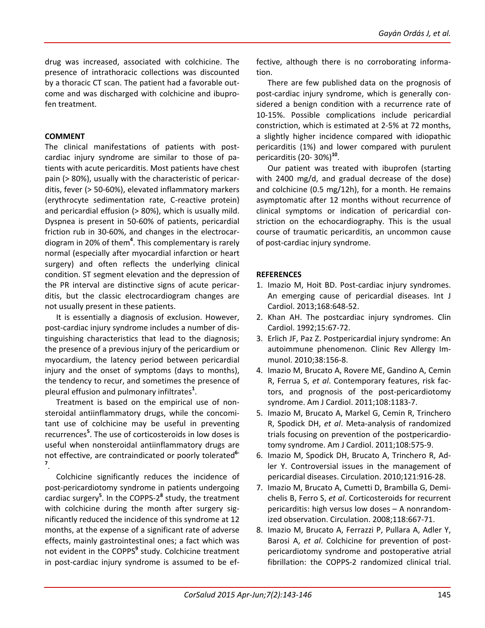drug was increased, associated with colchicine. The presence of intrathoracic collections was discounted by a thoracic CT scan. The patient had a favorable outcome and was discharged with colchicine and ibuprofen treatment.

## **COMMENT**

The clinical manifestations of patients with postcardiac injury syndrome are similar to those of patients with acute pericarditis. Most patients have chest pain (> 80%), usually with the characteristic of pericarditis, fever (> 50-60%), elevated inflammatory markers (erythrocyte sedimentation rate, C-reactive protein) and pericardial effusion (> 80%), which is usually mild. Dyspnea is present in 50-60% of patients, pericardial friction rub in 30-60%, and changes in the electrocardiogram in 20% of them**<sup>4</sup>** . This complementary is rarely normal (especially after myocardial infarction or heart surgery) and often reflects the underlying clinical condition. ST segment elevation and the depression of the PR interval are distinctive signs of acute pericarditis, but the classic electrocardiogram changes are not usually present in these patients.

It is essentially a diagnosis of exclusion. However, post-cardiac injury syndrome includes a number of distinguishing characteristics that lead to the diagnosis; the presence of a previous injury of the pericardium or myocardium, the latency period between pericardial injury and the onset of symptoms (days to months), the tendency to recur, and sometimes the presence of pleural effusion and pulmonary infiltrates**<sup>1</sup>** .

Treatment is based on the empirical use of nonsteroidal antiinflammatory drugs, while the concomitant use of colchicine may be useful in preventing recurrences**<sup>5</sup>** . The use of corticosteroids in low doses is useful when nonsteroidal antiinflammatory drugs are not effective, are contraindicated or poorly tolerated**6- 7** .

Colchicine significantly reduces the incidence of post-pericardiotomy syndrome in patients undergoing cardiac surgery**<sup>5</sup>** . In the COPPS-2**<sup>8</sup>** study, the treatment with colchicine during the month after surgery significantly reduced the incidence of this syndrome at 12 months, at the expense of a significant rate of adverse effects, mainly gastrointestinal ones; a fact which was not evident in the COPPS**<sup>9</sup>** study. Colchicine treatment in post-cardiac injury syndrome is assumed to be effective, although there is no corroborating information.

There are few published data on the prognosis of post-cardiac injury syndrome, which is generally considered a benign condition with a recurrence rate of 10-15%. Possible complications include pericardial constriction, which is estimated at 2-5% at 72 months, a slightly higher incidence compared with idiopathic pericarditis (1%) and lower compared with purulent pericarditis (20- 30%)**<sup>10</sup>**.

Our patient was treated with ibuprofen (starting with 2400 mg/d, and gradual decrease of the dose) and colchicine (0.5 mg/12h), for a month. He remains asymptomatic after 12 months without recurrence of clinical symptoms or indication of pericardial constriction on the echocardiography. This is the usual course of traumatic pericarditis, an uncommon cause of post-cardiac injury syndrome.

## **REFERENCES**

- 1. Imazio M, Hoit BD. Post-cardiac injury syndromes. An emerging cause of pericardial diseases. Int J Cardiol. 2013;168:648-52.
- 2. Khan AH. The postcardiac injury syndromes. Clin Cardiol. 1992;15:67-72.
- 3. Erlich JF, Paz Z. Postpericardial injury syndrome: An autoimmune phenomenon. Clinic Rev Allergy Immunol. 2010;38:156-8.
- 4. Imazio M, Brucato A, Rovere ME, Gandino A, Cemin R, Ferrua S, *et al*. Contemporary features, risk factors, and prognosis of the post-pericardiotomy syndrome. Am J Cardiol. 2011;108:1183-7.
- 5. Imazio M, Brucato A, Markel G, Cemin R, Trinchero R, Spodick DH, *et al*. Meta-analysis of randomized trials focusing on prevention of the postpericardiotomy syndrome. Am J Cardiol. 2011;108:575-9.
- 6. Imazio M, Spodick DH, Brucato A, Trinchero R, Adler Y. Controversial issues in the management of pericardial diseases. Circulation. 2010;121:916-28.
- 7. Imazio M, Brucato A, Cumetti D, Brambilla G, Demichelis B, Ferro S, *et al*. Corticosteroids for recurrent pericarditis: high versus low doses – A nonrandomized observation. Circulation. 2008;118:667-71.
- 8. Imazio M, Brucato A, Ferrazzi P, Pullara A, Adler Y, Barosi A, *et al*. Colchicine for prevention of postpericardiotomy syndrome and postoperative atrial fibrillation: the COPPS-2 randomized clinical trial.